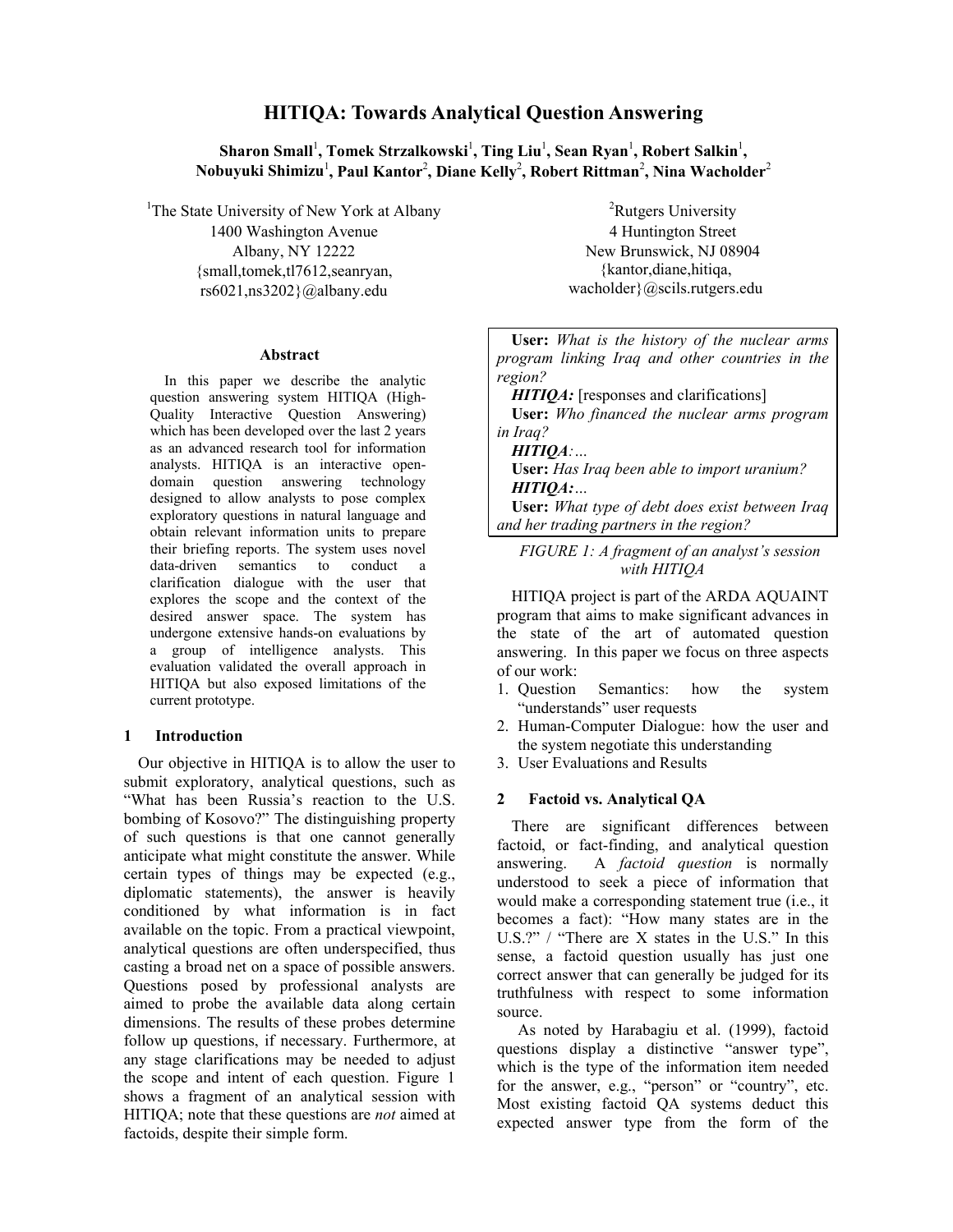# **HITIQA: Towards Analytical Question Answering**

 $\boldsymbol{\delta}$ Sharon Small<sup>1</sup>, Tomek Strzalkowski<sup>1</sup>, Ting Liu<sup>1</sup>, Sean Ryan<sup>1</sup>, Robert Salkin<sup>1</sup>,  $\boldsymbol{\mathrm{N}}$ obuyuki Shimizu<sup>1</sup>, Paul Kantor<sup>2</sup>, Diane Kelly<sup>2</sup>, Robert Rittman<sup>2</sup>, Nina Wacholder<sup>2</sup>

<sup>1</sup>The State University of New York at Albany 1400 Washington Avenue Albany, NY 12222 {small,tomek,tl7612,seanryan, rs6021,ns3202}@albany.edu

#### **Abstract**

In this paper we describe the analytic question answering system HITIQA (High-Quality Interactive Question Answering) which has been developed over the last 2 years as an advanced research tool for information analysts. HITIQA is an interactive opendomain question answering technology designed to allow analysts to pose complex exploratory questions in natural language and obtain relevant information units to prepare their briefing reports. The system uses novel data-driven semantics to conduct a clarification dialogue with the user that explores the scope and the context of the desired answer space. The system has undergone extensive hands-on evaluations by a group of intelligence analysts. This evaluation validated the overall approach in HITIQA but also exposed limitations of the current prototype.

#### **1 Introduction**

Our objective in HITIQA is to allow the user to submit exploratory, analytical questions, such as "What has been Russia's reaction to the U.S. bombing of Kosovo?" The distinguishing property of such questions is that one cannot generally anticipate what might constitute the answer. While certain types of things may be expected (e.g., diplomatic statements), the answer is heavily conditioned by what information is in fact available on the topic. From a practical viewpoint, analytical questions are often underspecified, thus casting a broad net on a space of possible answers. Questions posed by professional analysts are aimed to probe the available data along certain dimensions. The results of these probes determine follow up questions, if necessary. Furthermore, at any stage clarifications may be needed to adjust the scope and intent of each question. Figure 1 shows a fragment of an analytical session with HITIQA; note that these questions are *not* aimed at factoids, despite their simple form.

<sup>2</sup>Rutgers University 4 Huntington Street New Brunswick, NJ 08904 {kantor,diane,hitiqa, wacholder}@scils.rutgers.edu

| <b>User:</b> What is the history of the nuclear arms   |
|--------------------------------------------------------|
| program linking Iraq and other countries in the        |
| region?                                                |
| <b>HITIQA</b> : [responses and clarifications]         |
| <b>User:</b> Who financed the nuclear arms program     |
| in Iraq?                                               |
| $HITIQA$ :                                             |
| <b>User:</b> Has Iraq been able to import uranium?     |
| HITIOA:                                                |
| <b>User:</b> What type of debt does exist between Iraq |
| and her trading partners in the region?                |

*FIGURE 1: A fragment of an analyst's session with HITIQA*

HITIQA project is part of the ARDA AQUAINT program that aims to make significant advances in the state of the art of automated question answering. In this paper we focus on three aspects of our work:

- 1. Question Semantics: how the system "understands" user requests
- 2. Human-Computer Dialogue: how the user and the system negotiate this understanding
- 3. User Evaluations and Results

### **2 Factoid vs. Analytical QA**

There are significant differences between factoid, or fact-finding, and analytical question answering. A *factoid question* is normally understood to seek a piece of information that would make a corresponding statement true (i.e., it becomes a fact): "How many states are in the U.S.?" / "There are X states in the U.S." In this sense, a factoid question usually has just one correct answer that can generally be judged for its truthfulness with respect to some information source.

As noted by Harabagiu et al. (1999), factoid questions display a distinctive "answer type", which is the type of the information item needed for the answer, e.g., "person" or "country", etc. Most existing factoid QA systems deduct this expected answer type from the form of the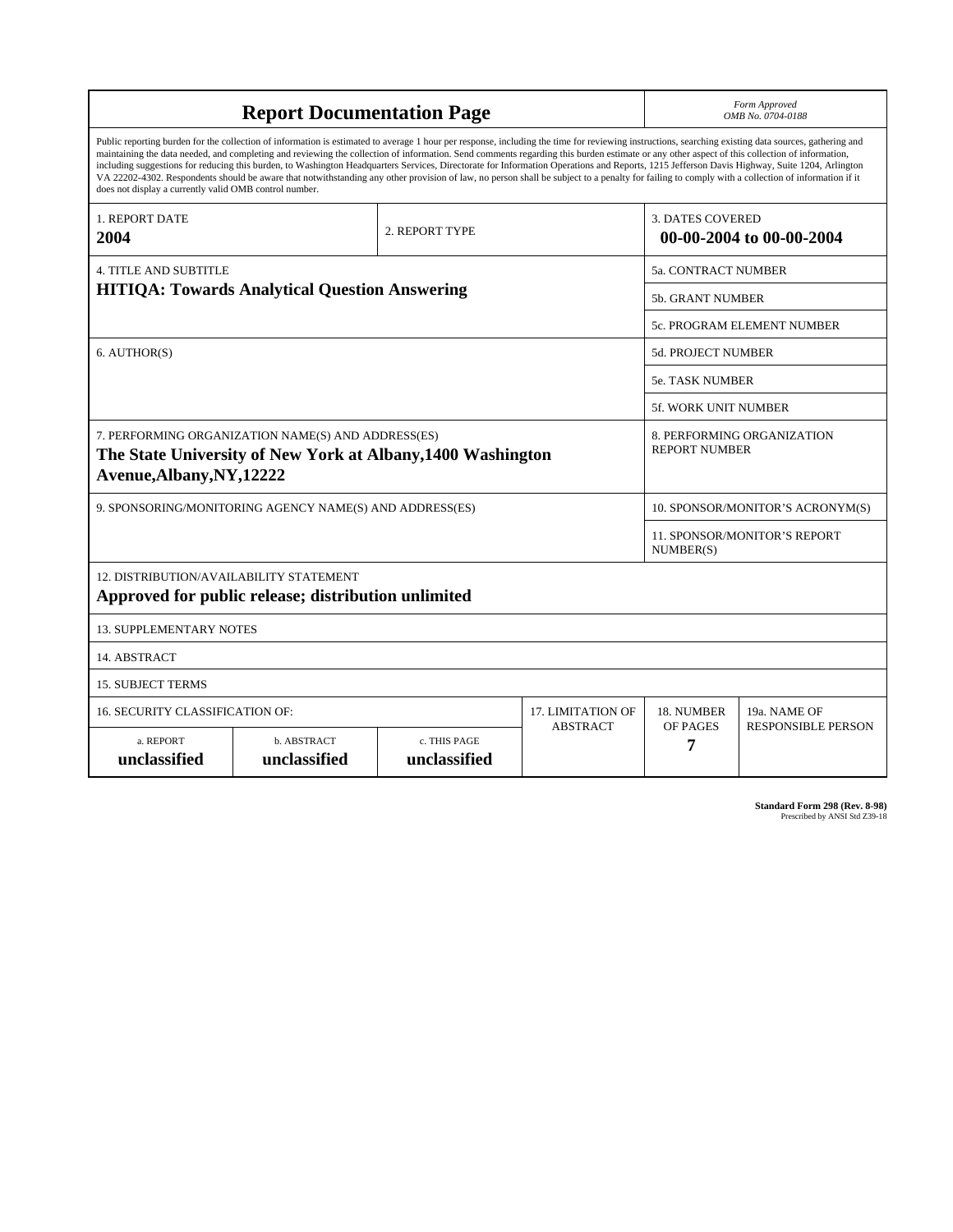| <b>Report Documentation Page</b>                                                                                                                                                                                                                                                                                                                                                                                                                                                                                                                                                                                                                                                                                                                                                                                                                                   |                             |                              |                            |                                                     | Form Approved<br>OMB No. 0704-0188 |  |
|--------------------------------------------------------------------------------------------------------------------------------------------------------------------------------------------------------------------------------------------------------------------------------------------------------------------------------------------------------------------------------------------------------------------------------------------------------------------------------------------------------------------------------------------------------------------------------------------------------------------------------------------------------------------------------------------------------------------------------------------------------------------------------------------------------------------------------------------------------------------|-----------------------------|------------------------------|----------------------------|-----------------------------------------------------|------------------------------------|--|
| Public reporting burden for the collection of information is estimated to average 1 hour per response, including the time for reviewing instructions, searching existing data sources, gathering and<br>maintaining the data needed, and completing and reviewing the collection of information. Send comments regarding this burden estimate or any other aspect of this collection of information,<br>including suggestions for reducing this burden, to Washington Headquarters Services, Directorate for Information Operations and Reports, 1215 Jefferson Davis Highway, Suite 1204, Arlington<br>VA 22202-4302. Respondents should be aware that notwithstanding any other provision of law, no person shall be subject to a penalty for failing to comply with a collection of information if it<br>does not display a currently valid OMB control number. |                             |                              |                            |                                                     |                                    |  |
| <b>1. REPORT DATE</b><br>2004                                                                                                                                                                                                                                                                                                                                                                                                                                                                                                                                                                                                                                                                                                                                                                                                                                      | 2. REPORT TYPE              |                              |                            | <b>3. DATES COVERED</b><br>00-00-2004 to 00-00-2004 |                                    |  |
| <b>4. TITLE AND SUBTITLE</b>                                                                                                                                                                                                                                                                                                                                                                                                                                                                                                                                                                                                                                                                                                                                                                                                                                       |                             |                              |                            | 5a. CONTRACT NUMBER                                 |                                    |  |
| <b>HITIQA: Towards Analytical Question Answering</b>                                                                                                                                                                                                                                                                                                                                                                                                                                                                                                                                                                                                                                                                                                                                                                                                               |                             |                              | <b>5b. GRANT NUMBER</b>    |                                                     |                                    |  |
|                                                                                                                                                                                                                                                                                                                                                                                                                                                                                                                                                                                                                                                                                                                                                                                                                                                                    |                             |                              | 5c. PROGRAM ELEMENT NUMBER |                                                     |                                    |  |
| 6. AUTHOR(S)                                                                                                                                                                                                                                                                                                                                                                                                                                                                                                                                                                                                                                                                                                                                                                                                                                                       |                             |                              | <b>5d. PROJECT NUMBER</b>  |                                                     |                                    |  |
|                                                                                                                                                                                                                                                                                                                                                                                                                                                                                                                                                                                                                                                                                                                                                                                                                                                                    |                             |                              | <b>5e. TASK NUMBER</b>     |                                                     |                                    |  |
|                                                                                                                                                                                                                                                                                                                                                                                                                                                                                                                                                                                                                                                                                                                                                                                                                                                                    |                             |                              |                            | <b>5f. WORK UNIT NUMBER</b>                         |                                    |  |
| 7. PERFORMING ORGANIZATION NAME(S) AND ADDRESS(ES)<br>The State University of New York at Albany, 1400 Washington<br>Avenue, Albany, NY, 12222                                                                                                                                                                                                                                                                                                                                                                                                                                                                                                                                                                                                                                                                                                                     |                             |                              |                            | 8. PERFORMING ORGANIZATION<br><b>REPORT NUMBER</b>  |                                    |  |
| 9. SPONSORING/MONITORING AGENCY NAME(S) AND ADDRESS(ES)                                                                                                                                                                                                                                                                                                                                                                                                                                                                                                                                                                                                                                                                                                                                                                                                            |                             |                              |                            | 10. SPONSOR/MONITOR'S ACRONYM(S)                    |                                    |  |
|                                                                                                                                                                                                                                                                                                                                                                                                                                                                                                                                                                                                                                                                                                                                                                                                                                                                    |                             |                              |                            | <b>11. SPONSOR/MONITOR'S REPORT</b><br>NUMBER(S)    |                                    |  |
| 12. DISTRIBUTION/AVAILABILITY STATEMENT<br>Approved for public release; distribution unlimited                                                                                                                                                                                                                                                                                                                                                                                                                                                                                                                                                                                                                                                                                                                                                                     |                             |                              |                            |                                                     |                                    |  |
| <b>13. SUPPLEMENTARY NOTES</b>                                                                                                                                                                                                                                                                                                                                                                                                                                                                                                                                                                                                                                                                                                                                                                                                                                     |                             |                              |                            |                                                     |                                    |  |
| 14. ABSTRACT                                                                                                                                                                                                                                                                                                                                                                                                                                                                                                                                                                                                                                                                                                                                                                                                                                                       |                             |                              |                            |                                                     |                                    |  |
| <b>15. SUBJECT TERMS</b>                                                                                                                                                                                                                                                                                                                                                                                                                                                                                                                                                                                                                                                                                                                                                                                                                                           |                             |                              |                            |                                                     |                                    |  |
| 16. SECURITY CLASSIFICATION OF:                                                                                                                                                                                                                                                                                                                                                                                                                                                                                                                                                                                                                                                                                                                                                                                                                                    |                             |                              | 17. LIMITATION OF          | 18. NUMBER                                          | 19a. NAME OF                       |  |
| a. REPORT<br>unclassified                                                                                                                                                                                                                                                                                                                                                                                                                                                                                                                                                                                                                                                                                                                                                                                                                                          | b. ABSTRACT<br>unclassified | c. THIS PAGE<br>unclassified | <b>ABSTRACT</b>            | OF PAGES<br>7                                       | <b>RESPONSIBLE PERSON</b>          |  |

**Standard Form 298 (Rev. 8-98)**<br>Prescribed by ANSI Std Z39-18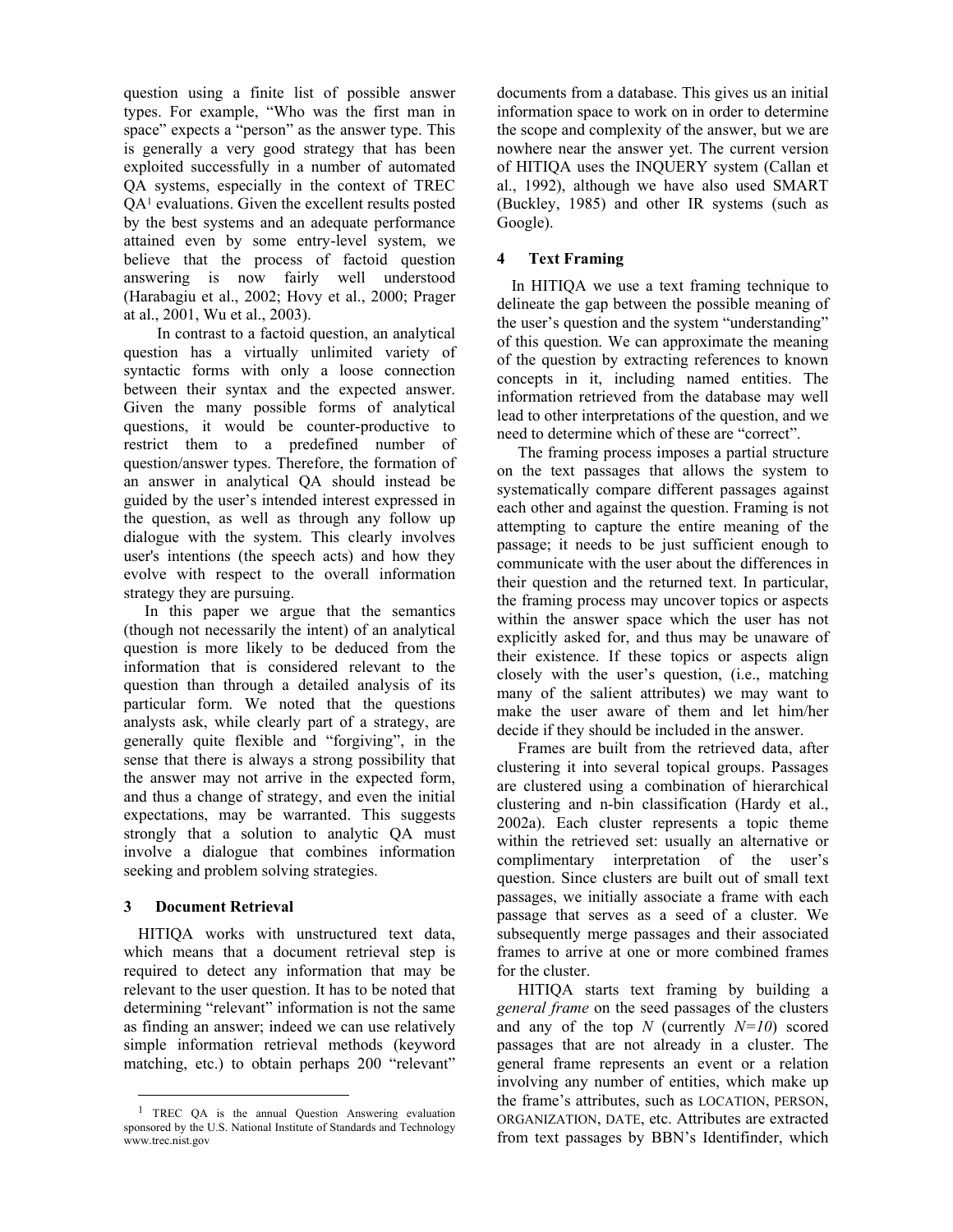question using a finite list of possible answer types. For example, "Who was the first man in space" expects a "person" as the answer type. This is generally a very good strategy that has been exploited successfully in a number of automated QA systems, especially in the context of TREC QA1 evaluations. Given the excellent results posted by the best systems and an adequate performance attained even by some entry-level system, we believe that the process of factoid question answering is now fairly well understood (Harabagiu et al., 2002; Hovy et al., 2000; Prager at al., 2001, Wu et al., 2003).

 In contrast to a factoid question, an analytical question has a virtually unlimited variety of syntactic forms with only a loose connection between their syntax and the expected answer. Given the many possible forms of analytical questions, it would be counter-productive to restrict them to a predefined number of question/answer types. Therefore, the formation of an answer in analytical QA should instead be guided by the user's intended interest expressed in the question, as well as through any follow up dialogue with the system. This clearly involves user's intentions (the speech acts) and how they evolve with respect to the overall information strategy they are pursuing.

In this paper we argue that the semantics (though not necessarily the intent) of an analytical question is more likely to be deduced from the information that is considered relevant to the question than through a detailed analysis of its particular form. We noted that the questions analysts ask, while clearly part of a strategy, are generally quite flexible and "forgiving", in the sense that there is always a strong possibility that the answer may not arrive in the expected form, and thus a change of strategy, and even the initial expectations, may be warranted. This suggests strongly that a solution to analytic QA must involve a dialogue that combines information seeking and problem solving strategies.

### **3 Document Retrieval**

 $\overline{a}$ 

HITIQA works with unstructured text data, which means that a document retrieval step is required to detect any information that may be relevant to the user question. It has to be noted that determining "relevant" information is not the same as finding an answer; indeed we can use relatively simple information retrieval methods (keyword matching, etc.) to obtain perhaps 200 "relevant" documents from a database. This gives us an initial information space to work on in order to determine the scope and complexity of the answer, but we are nowhere near the answer yet. The current version of HITIQA uses the INQUERY system (Callan et al., 1992), although we have also used SMART (Buckley, 1985) and other IR systems (such as Google).

# **4 Text Framing**

In HITIQA we use a text framing technique to delineate the gap between the possible meaning of the user's question and the system "understanding" of this question. We can approximate the meaning of the question by extracting references to known concepts in it, including named entities. The information retrieved from the database may well lead to other interpretations of the question, and we need to determine which of these are "correct".

The framing process imposes a partial structure on the text passages that allows the system to systematically compare different passages against each other and against the question. Framing is not attempting to capture the entire meaning of the passage; it needs to be just sufficient enough to communicate with the user about the differences in their question and the returned text. In particular, the framing process may uncover topics or aspects within the answer space which the user has not explicitly asked for, and thus may be unaware of their existence. If these topics or aspects align closely with the user's question, (i.e., matching many of the salient attributes) we may want to make the user aware of them and let him/her decide if they should be included in the answer.

Frames are built from the retrieved data, after clustering it into several topical groups. Passages are clustered using a combination of hierarchical clustering and n-bin classification (Hardy et al., 2002a). Each cluster represents a topic theme within the retrieved set: usually an alternative or complimentary interpretation of the user's question. Since clusters are built out of small text passages, we initially associate a frame with each passage that serves as a seed of a cluster. We subsequently merge passages and their associated frames to arrive at one or more combined frames for the cluster.

HITIQA starts text framing by building a *general frame* on the seed passages of the clusters and any of the top *N* (currently *N=10*) scored passages that are not already in a cluster. The general frame represents an event or a relation involving any number of entities, which make up the frame's attributes, such as LOCATION, PERSON, ORGANIZATION, DATE, etc. Attributes are extracted from text passages by BBN's Identifinder, which

<sup>&</sup>lt;sup>1</sup> TREC QA is the annual Question Answering evaluation sponsored by the U.S. National Institute of Standards and Technology www.trec.nist.gov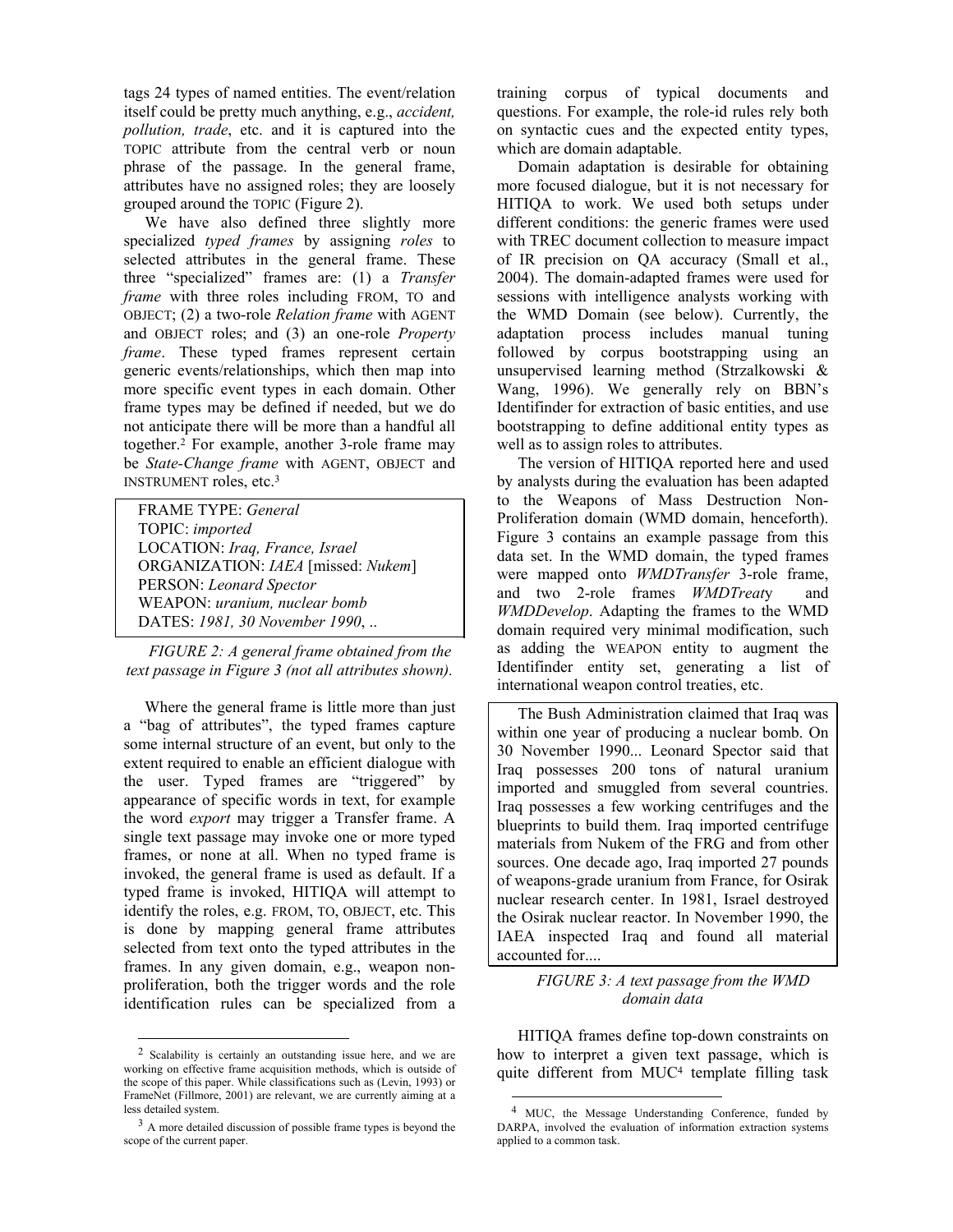tags 24 types of named entities. The event/relation itself could be pretty much anything, e.g., *accident, pollution, trade*, etc. and it is captured into the TOPIC attribute from the central verb or noun phrase of the passage. In the general frame, attributes have no assigned roles; they are loosely grouped around the TOPIC (Figure 2).

We have also defined three slightly more specialized *typed frames* by assigning *roles* to selected attributes in the general frame. These three "specialized" frames are: (1) a *Transfer frame* with three roles including FROM, TO and OBJECT; (2) a two-role *Relation frame* with AGENT and OBJECT roles; and (3) an one-role *Property frame*. These typed frames represent certain generic events/relationships, which then map into more specific event types in each domain. Other frame types may be defined if needed, but we do not anticipate there will be more than a handful all together.2 For example, another 3-role frame may be *State-Change frame* with AGENT, OBJECT and INSTRUMENT roles, etc.3

FRAME TYPE: *General*  TOPIC: *imported*  LOCATION: *Iraq, France, Israel* ORGANIZATION: *IAEA* [missed: *Nukem*] PERSON: *Leonard Spector*  WEAPON: *uranium, nuclear bomb*  DATES: *1981, 30 November 1990*, ..

*FIGURE 2: A general frame obtained from the text passage in Figure 3 (not all attributes shown).* 

Where the general frame is little more than just a "bag of attributes", the typed frames capture some internal structure of an event, but only to the extent required to enable an efficient dialogue with the user. Typed frames are "triggered" by appearance of specific words in text, for example the word *export* may trigger a Transfer frame. A single text passage may invoke one or more typed frames, or none at all. When no typed frame is invoked, the general frame is used as default. If a typed frame is invoked, HITIQA will attempt to identify the roles, e.g. FROM, TO, OBJECT, etc. This is done by mapping general frame attributes selected from text onto the typed attributes in the frames. In any given domain, e.g., weapon nonproliferation, both the trigger words and the role identification rules can be specialized from a

l

training corpus of typical documents and questions. For example, the role-id rules rely both on syntactic cues and the expected entity types, which are domain adaptable.

Domain adaptation is desirable for obtaining more focused dialogue, but it is not necessary for HITIQA to work. We used both setups under different conditions: the generic frames were used with TREC document collection to measure impact of IR precision on QA accuracy (Small et al., 2004). The domain-adapted frames were used for sessions with intelligence analysts working with the WMD Domain (see below). Currently, the adaptation process includes manual tuning followed by corpus bootstrapping using an unsupervised learning method (Strzalkowski & Wang, 1996). We generally rely on BBN's Identifinder for extraction of basic entities, and use bootstrapping to define additional entity types as well as to assign roles to attributes.

The version of HITIQA reported here and used by analysts during the evaluation has been adapted to the Weapons of Mass Destruction Non-Proliferation domain (WMD domain, henceforth). Figure 3 contains an example passage from this data set. In the WMD domain, the typed frames were mapped onto *WMDTransfer* 3-role frame, and two 2-role frames *WMDTreat*y and *WMDDevelop*. Adapting the frames to the WMD domain required very minimal modification, such as adding the WEAPON entity to augment the Identifinder entity set, generating a list of international weapon control treaties, etc.

The Bush Administration claimed that Iraq was within one year of producing a nuclear bomb. On 30 November 1990... Leonard Spector said that Iraq possesses 200 tons of natural uranium imported and smuggled from several countries. Iraq possesses a few working centrifuges and the blueprints to build them. Iraq imported centrifuge materials from Nukem of the FRG and from other sources. One decade ago, Iraq imported 27 pounds of weapons-grade uranium from France, for Osirak nuclear research center. In 1981, Israel destroyed the Osirak nuclear reactor. In November 1990, the IAEA inspected Iraq and found all material accounted for....

### *FIGURE 3: A text passage from the WMD domain data*

HITIQA frames define top-down constraints on how to interpret a given text passage, which is quite different from MUC4 template filling task

l

<sup>2</sup> Scalability is certainly an outstanding issue here, and we are working on effective frame acquisition methods, which is outside of the scope of this paper. While classifications such as (Levin, 1993) or FrameNet (Fillmore, 2001) are relevant, we are currently aiming at a less detailed system.

<sup>3</sup> A more detailed discussion of possible frame types is beyond the scope of the current paper.

<sup>&</sup>lt;sup>4</sup> MUC, the Message Understanding Conference, funded by DARPA, involved the evaluation of information extraction systems applied to a common task.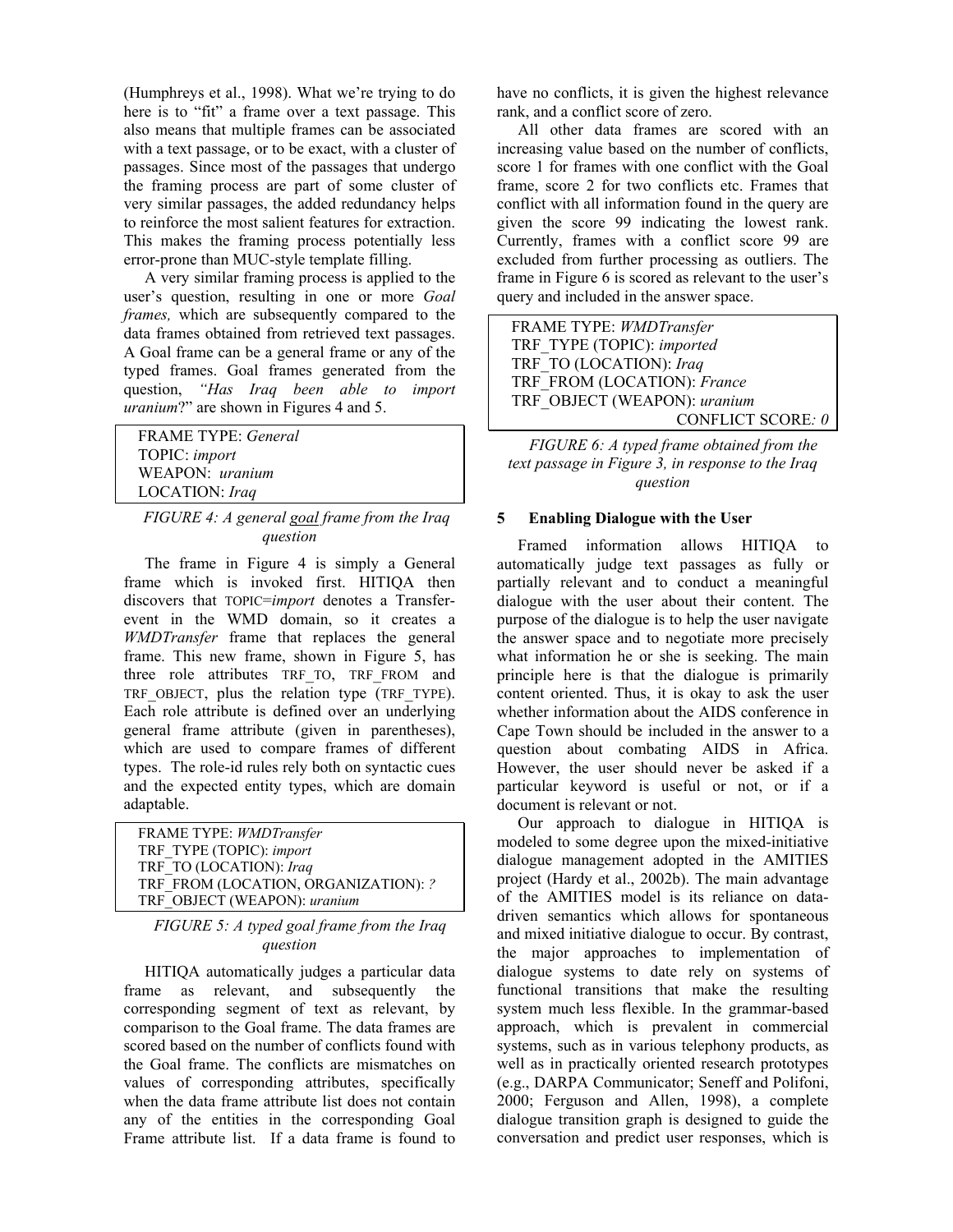(Humphreys et al., 1998). What we're trying to do here is to "fit" a frame over a text passage. This also means that multiple frames can be associated with a text passage, or to be exact, with a cluster of passages. Since most of the passages that undergo the framing process are part of some cluster of very similar passages, the added redundancy helps to reinforce the most salient features for extraction. This makes the framing process potentially less error-prone than MUC-style template filling.

A very similar framing process is applied to the user's question, resulting in one or more *Goal frames,* which are subsequently compared to the data frames obtained from retrieved text passages. A Goal frame can be a general frame or any of the typed frames. Goal frames generated from the question, *"Has Iraq been able to import uranium*?" are shown in Figures 4 and 5.

FRAME TYPE: *General* TOPIC: *import*  WEAPON: *uranium* LOCATION: *Iraq*

### *FIGURE 4: A general goal frame from the Iraq question*

The frame in Figure 4 is simply a General frame which is invoked first. HITIQA then discovers that TOPIC=*import* denotes a Transferevent in the WMD domain, so it creates a *WMDTransfer* frame that replaces the general frame. This new frame, shown in Figure 5, has three role attributes TRF\_TO, TRF\_FROM and TRF OBJECT, plus the relation type (TRF TYPE). Each role attribute is defined over an underlying general frame attribute (given in parentheses), which are used to compare frames of different types. The role-id rules rely both on syntactic cues and the expected entity types, which are domain adaptable.

| FRAME TYPE: WMDTransfer              |
|--------------------------------------|
| TRF TYPE (TOPIC): import             |
| TRF TO (LOCATION): Iraq              |
| TRF FROM (LOCATION, ORGANIZATION): ? |
| TRF OBJECT (WEAPON): uranium         |

#### *FIGURE 5: A typed goal frame from the Iraq question*

HITIQA automatically judges a particular data frame as relevant, and subsequently the corresponding segment of text as relevant, by comparison to the Goal frame. The data frames are scored based on the number of conflicts found with the Goal frame. The conflicts are mismatches on values of corresponding attributes, specifically when the data frame attribute list does not contain any of the entities in the corresponding Goal Frame attribute list. If a data frame is found to have no conflicts, it is given the highest relevance rank, and a conflict score of zero.

All other data frames are scored with an increasing value based on the number of conflicts, score 1 for frames with one conflict with the Goal frame, score 2 for two conflicts etc. Frames that conflict with all information found in the query are given the score 99 indicating the lowest rank. Currently, frames with a conflict score 99 are excluded from further processing as outliers. The frame in Figure 6 is scored as relevant to the user's query and included in the answer space.

FRAME TYPE: *WMDTransfer*  TRF\_TYPE (TOPIC): *imported*  TRF\_TO (LOCATION): *Iraq*  TRF\_FROM (LOCATION): *France*  TRF\_OBJECT (WEAPON): *uranium*  CONFLICT SCORE*: 0*

*FIGURE 6: A typed frame obtained from the text passage in Figure 3, in response to the Iraq question* 

# **5 Enabling Dialogue with the User**

Framed information allows HITIQA to automatically judge text passages as fully or partially relevant and to conduct a meaningful dialogue with the user about their content. The purpose of the dialogue is to help the user navigate the answer space and to negotiate more precisely what information he or she is seeking. The main principle here is that the dialogue is primarily content oriented. Thus, it is okay to ask the user whether information about the AIDS conference in Cape Town should be included in the answer to a question about combating AIDS in Africa. However, the user should never be asked if a particular keyword is useful or not, or if a document is relevant or not.

Our approach to dialogue in HITIQA is modeled to some degree upon the mixed-initiative dialogue management adopted in the AMITIES project (Hardy et al., 2002b). The main advantage of the AMITIES model is its reliance on datadriven semantics which allows for spontaneous and mixed initiative dialogue to occur. By contrast, the major approaches to implementation of dialogue systems to date rely on systems of functional transitions that make the resulting system much less flexible. In the grammar-based approach, which is prevalent in commercial systems, such as in various telephony products, as well as in practically oriented research prototypes (e.g., DARPA Communicator; Seneff and Polifoni, 2000; Ferguson and Allen, 1998), a complete dialogue transition graph is designed to guide the conversation and predict user responses, which is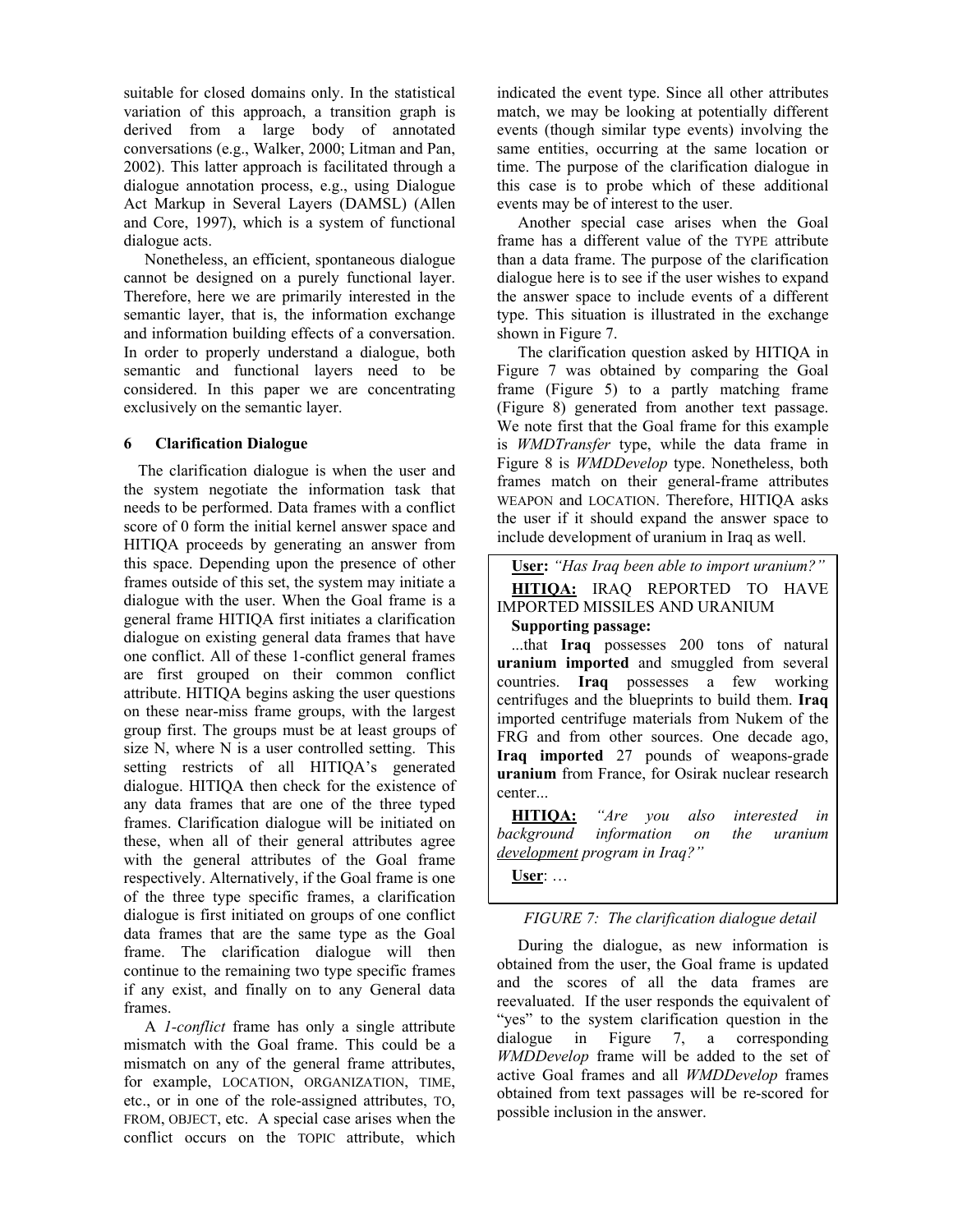suitable for closed domains only. In the statistical variation of this approach, a transition graph is derived from a large body of annotated conversations (e.g., Walker, 2000; Litman and Pan, 2002). This latter approach is facilitated through a dialogue annotation process, e.g., using Dialogue Act Markup in Several Layers (DAMSL) (Allen and Core, 1997), which is a system of functional dialogue acts.

Nonetheless, an efficient, spontaneous dialogue cannot be designed on a purely functional layer. Therefore, here we are primarily interested in the semantic layer, that is, the information exchange and information building effects of a conversation. In order to properly understand a dialogue, both semantic and functional layers need to be considered. In this paper we are concentrating exclusively on the semantic layer.

# **6 Clarification Dialogue**

The clarification dialogue is when the user and the system negotiate the information task that needs to be performed. Data frames with a conflict score of 0 form the initial kernel answer space and HITIQA proceeds by generating an answer from this space. Depending upon the presence of other frames outside of this set, the system may initiate a dialogue with the user. When the Goal frame is a general frame HITIQA first initiates a clarification dialogue on existing general data frames that have one conflict. All of these 1-conflict general frames are first grouped on their common conflict attribute. HITIQA begins asking the user questions on these near-miss frame groups, with the largest group first. The groups must be at least groups of size N, where N is a user controlled setting. This setting restricts of all HITIQA's generated dialogue. HITIQA then check for the existence of any data frames that are one of the three typed frames. Clarification dialogue will be initiated on these, when all of their general attributes agree with the general attributes of the Goal frame respectively. Alternatively, if the Goal frame is one of the three type specific frames, a clarification dialogue is first initiated on groups of one conflict data frames that are the same type as the Goal frame. The clarification dialogue will then continue to the remaining two type specific frames if any exist, and finally on to any General data frames.

A *1-conflict* frame has only a single attribute mismatch with the Goal frame. This could be a mismatch on any of the general frame attributes, for example, LOCATION, ORGANIZATION, TIME, etc., or in one of the role-assigned attributes, TO, FROM, OBJECT, etc. A special case arises when the conflict occurs on the TOPIC attribute, which

indicated the event type. Since all other attributes match, we may be looking at potentially different events (though similar type events) involving the same entities, occurring at the same location or time. The purpose of the clarification dialogue in this case is to probe which of these additional events may be of interest to the user.

Another special case arises when the Goal frame has a different value of the TYPE attribute than a data frame. The purpose of the clarification dialogue here is to see if the user wishes to expand the answer space to include events of a different type. This situation is illustrated in the exchange shown in Figure 7.

The clarification question asked by HITIQA in Figure 7 was obtained by comparing the Goal frame (Figure 5) to a partly matching frame (Figure 8) generated from another text passage. We note first that the Goal frame for this example is *WMDTransfer* type, while the data frame in Figure 8 is *WMDDevelop* type. Nonetheless, both frames match on their general-frame attributes WEAPON and LOCATION. Therefore, HITIQA asks the user if it should expand the answer space to include development of uranium in Iraq as well.

**User:** *"Has Iraq been able to import uranium?"*  **HITIQA:** IRAQ REPORTED TO HAVE IMPORTED MISSILES AND URANIUM **Supporting passage:**

...that **Iraq** possesses 200 tons of natural **uranium imported** and smuggled from several countries. **Iraq** possesses a few working centrifuges and the blueprints to build them. **Iraq** imported centrifuge materials from Nukem of the FRG and from other sources. One decade ago, **Iraq imported** 27 pounds of weapons-grade **uranium** from France, for Osirak nuclear research center...

**HITIQA:** *"Are you also interested in background information on the uranium development program in Iraq?"* 

**User**: …

*FIGURE 7: The clarification dialogue detail* 

During the dialogue, as new information is obtained from the user, the Goal frame is updated and the scores of all the data frames are reevaluated. If the user responds the equivalent of "yes" to the system clarification question in the dialogue in Figure 7, a corresponding *WMDDevelop* frame will be added to the set of active Goal frames and all *WMDDevelop* frames obtained from text passages will be re-scored for possible inclusion in the answer.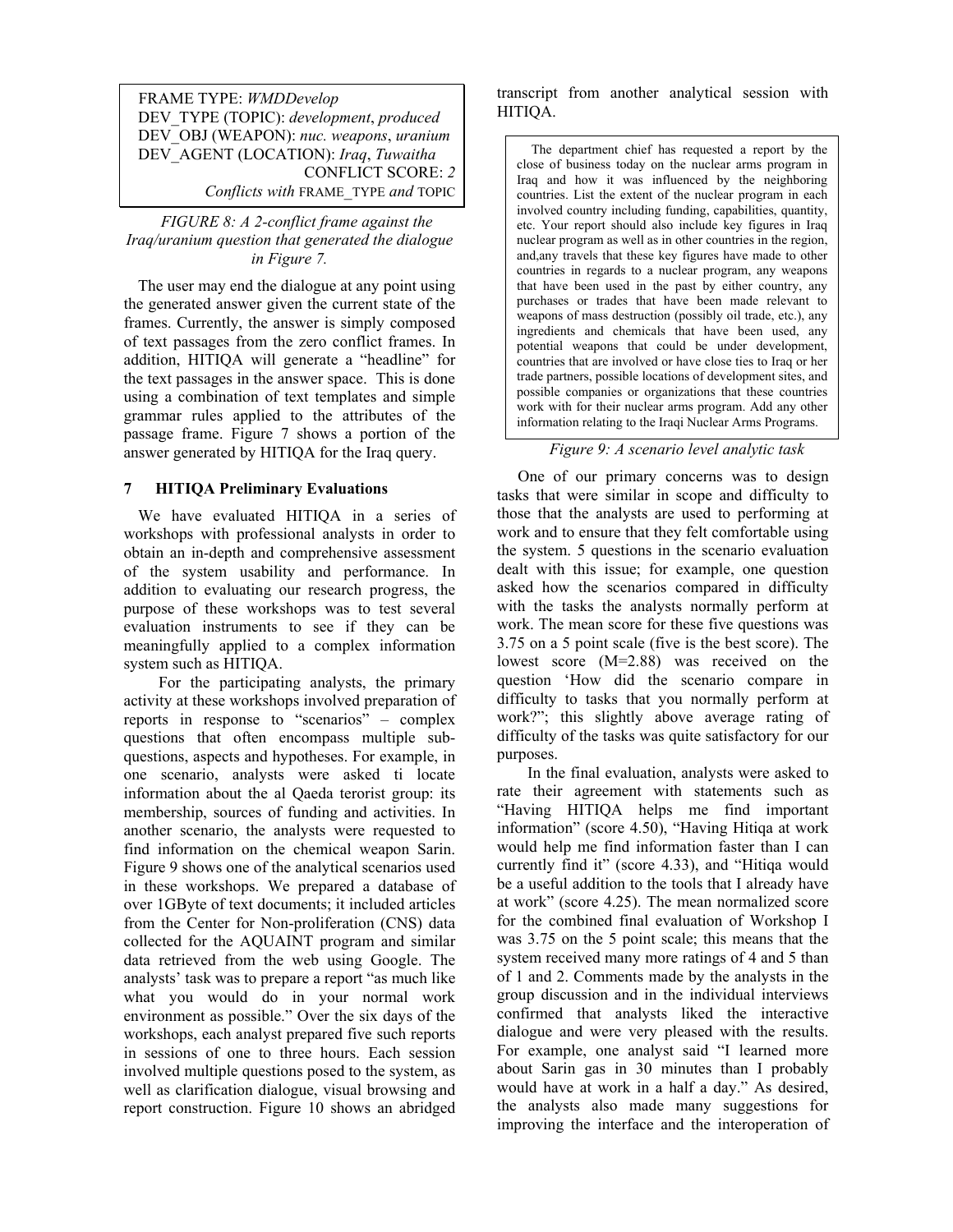FRAME TYPE: *WMDDevelop* DEV\_TYPE (TOPIC): *development*, *produced* DEV\_OBJ (WEAPON): *nuc. weapons*, *uranium* DEV\_AGENT (LOCATION): *Iraq*, *Tuwaitha*  CONFLICT SCORE: *2 Conflicts with* FRAME\_TYPE *and* TOPIC

*FIGURE 8: A 2-conflict frame against the Iraq/uranium question that generated the dialogue in Figure 7.* 

The user may end the dialogue at any point using the generated answer given the current state of the frames. Currently, the answer is simply composed of text passages from the zero conflict frames. In addition, HITIQA will generate a "headline" for the text passages in the answer space. This is done using a combination of text templates and simple grammar rules applied to the attributes of the passage frame. Figure 7 shows a portion of the answer generated by HITIQA for the Iraq query.

# **7 HITIQA Preliminary Evaluations**

We have evaluated HITIQA in a series of workshops with professional analysts in order to obtain an in-depth and comprehensive assessment of the system usability and performance. In addition to evaluating our research progress, the purpose of these workshops was to test several evaluation instruments to see if they can be meaningfully applied to a complex information system such as HITIQA.

 For the participating analysts, the primary activity at these workshops involved preparation of reports in response to "scenarios" – complex questions that often encompass multiple subquestions, aspects and hypotheses. For example, in one scenario, analysts were asked ti locate information about the al Qaeda terorist group: its membership, sources of funding and activities. In another scenario, the analysts were requested to find information on the chemical weapon Sarin. Figure 9 shows one of the analytical scenarios used in these workshops. We prepared a database of over 1GByte of text documents; it included articles from the Center for Non-proliferation (CNS) data collected for the AQUAINT program and similar data retrieved from the web using Google. The analysts' task was to prepare a report "as much like what you would do in your normal work environment as possible." Over the six days of the workshops, each analyst prepared five such reports in sessions of one to three hours. Each session involved multiple questions posed to the system, as well as clarification dialogue, visual browsing and report construction. Figure 10 shows an abridged transcript from another analytical session with HITIQA.

The department chief has requested a report by the close of business today on the nuclear arms program in Iraq and how it was influenced by the neighboring countries. List the extent of the nuclear program in each involved country including funding, capabilities, quantity, etc. Your report should also include key figures in Iraq nuclear program as well as in other countries in the region, and,any travels that these key figures have made to other countries in regards to a nuclear program, any weapons that have been used in the past by either country, any purchases or trades that have been made relevant to weapons of mass destruction (possibly oil trade, etc.), any ingredients and chemicals that have been used, any potential weapons that could be under development, countries that are involved or have close ties to Iraq or her trade partners, possible locations of development sites, and possible companies or organizations that these countries work with for their nuclear arms program. Add any other information relating to the Iraqi Nuclear Arms Programs.

# *Figure 9: A scenario level analytic task*

One of our primary concerns was to design tasks that were similar in scope and difficulty to those that the analysts are used to performing at work and to ensure that they felt comfortable using the system. 5 questions in the scenario evaluation dealt with this issue; for example, one question asked how the scenarios compared in difficulty with the tasks the analysts normally perform at work. The mean score for these five questions was 3.75 on a 5 point scale (five is the best score). The lowest score (M=2.88) was received on the question 'How did the scenario compare in difficulty to tasks that you normally perform at work?"; this slightly above average rating of difficulty of the tasks was quite satisfactory for our purposes.

 In the final evaluation, analysts were asked to rate their agreement with statements such as "Having HITIQA helps me find important information" (score 4.50), "Having Hitiqa at work would help me find information faster than I can currently find it" (score 4.33), and "Hitiqa would be a useful addition to the tools that I already have at work" (score 4.25). The mean normalized score for the combined final evaluation of Workshop I was 3.75 on the 5 point scale; this means that the system received many more ratings of 4 and 5 than of 1 and 2. Comments made by the analysts in the group discussion and in the individual interviews confirmed that analysts liked the interactive dialogue and were very pleased with the results. For example, one analyst said "I learned more about Sarin gas in 30 minutes than I probably would have at work in a half a day." As desired, the analysts also made many suggestions for improving the interface and the interoperation of